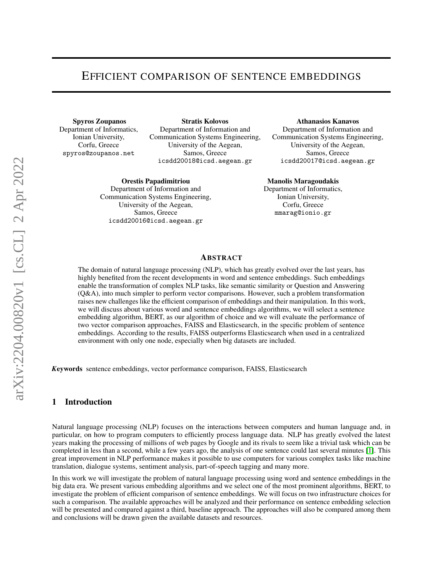## EFFICIENT COMPARISON OF SENTENCE EMBEDDINGS

Spyros Zoupanos Department of Informatics, Ionian University, Corfu, Greece spyros@zoupanos.net

Stratis Kolovos Department of Information and Communication Systems Engineering, University of the Aegean, Samos, Greece icsdd20018@icsd.aegean.gr

Orestis Papadimitriou Department of Information and Communication Systems Engineering, University of the Aegean, Samos, Greece icsdd20016@icsd.aegean.gr

Athanasios Kanavos

Department of Information and Communication Systems Engineering, University of the Aegean, Samos, Greece icsdd20017@icsd.aegean.gr

#### Manolis Maragoudakis

Department of Informatics, Ionian University, Corfu, Greece mmarag@ionio.gr

### ABSTRACT

The domain of natural language processing (NLP), which has greatly evolved over the last years, has highly benefited from the recent developments in word and sentence embeddings. Such embeddings enable the transformation of complex NLP tasks, like semantic similarity or Question and Answering (Q&A), into much simpler to perform vector comparisons. However, such a problem transformation raises new challenges like the efficient comparison of embeddings and their manipulation. In this work, we will discuss about various word and sentence embeddings algorithms, we will select a sentence embedding algorithm, BERT, as our algorithm of choice and we will evaluate the performance of two vector comparison approaches, FAISS and Elasticsearch, in the specific problem of sentence embeddings. According to the results, FAISS outperforms Elasticsearch when used in a centralized environment with only one node, especially when big datasets are included.

*K*eywords sentence embeddings, vector performance comparison, FAISS, Elasticsearch

#### 1 Introduction

Natural language processing (NLP) focuses on the interactions between computers and human language and, in particular, on how to program computers to efficiently process language data. NLP has greatly evolved the latest years making the processing of millions of web pages by Google and its rivals to seem like a trivial task which can be completed in less than a second, while a few years ago, the analysis of one sentence could last several minutes [\[1\]](#page-6-0). This great improvement in NLP performance makes it possible to use computers for various complex tasks like machine translation, dialogue systems, sentiment analysis, part-of-speech tagging and many more.

In this work we will investigate the problem of natural language processing using word and sentence embeddings in the big data era. We present various embedding algorithms and we select one of the most prominent algorithms, BERT, to investigate the problem of efficient comparison of sentence embeddings. We will focus on two infrastructure choices for such a comparison. The available approaches will be analyzed and their performance on sentence embedding selection will be presented and compared against a third, baseline approach. The approaches will also be compared among them and conclusions will be drawn given the available datasets and resources.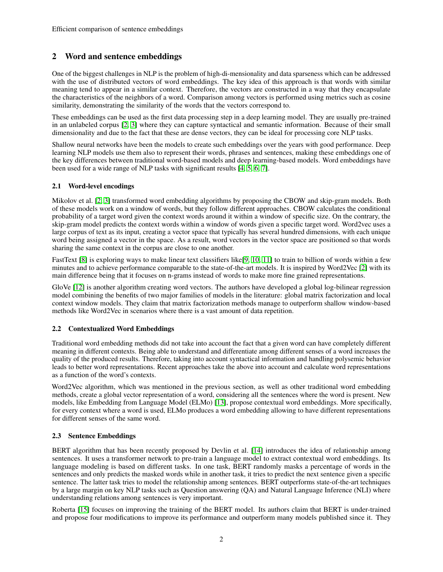## 2 Word and sentence embeddings

One of the biggest challenges in NLP is the problem of high-di-mensionality and data sparseness which can be addressed with the use of distributed vectors of word embeddings. The key idea of this approach is that words with similar meaning tend to appear in a similar context. Therefore, the vectors are constructed in a way that they encapsulate the characteristics of the neighbors of a word. Comparison among vectors is performed using metrics such as cosine similarity, demonstrating the similarity of the words that the vectors correspond to.

These embeddings can be used as the first data processing step in a deep learning model. They are usually pre-trained in an unlabeled corpus [\[2,](#page-6-1) [3\]](#page-6-2) where they can capture syntactical and semantic information. Because of their small dimensionality and due to the fact that these are dense vectors, they can be ideal for processing core NLP tasks.

Shallow neural networks have been the models to create such embeddings over the years with good performance. Deep learning NLP models use them also to represent their words, phrases and sentences, making these embeddings one of the key differences between traditional word-based models and deep learning-based models. Word embeddings have been used for a wide range of NLP tasks with significant results [\[4,](#page-6-3) [5,](#page-7-0) [6,](#page-7-1) [7\]](#page-7-2).

### 2.1 Word-level encodings

Mikolov et al. [\[2,](#page-6-1) [3\]](#page-6-2) transformed word embedding algorithms by proposing the CBOW and skip-gram models. Both of these models work on a window of words, but they follow different approaches. CBOW calculates the conditional probability of a target word given the context words around it within a window of specific size. On the contrary, the skip-gram model predicts the context words within a window of words given a specific target word. Word2vec uses a large corpus of text as its input, creating a vector space that typically has several hundred dimensions, with each unique word being assigned a vector in the space. As a result, word vectors in the vector space are positioned so that words sharing the same context in the corpus are close to one another.

FastText [\[8\]](#page-7-3) is exploring ways to make linear text classifiers like[\[9,](#page-7-4) [10,](#page-7-5) [11\]](#page-7-6) to train to billion of words within a few minutes and to achieve performance comparable to the state-of-the-art models. It is inspired by Word2Vec [\[2\]](#page-6-1) with its main difference being that it focuses on n-grams instead of words to make more fine grained representations.

GloVe [\[12\]](#page-7-7) is another algorithm creating word vectors. The authors have developed a global log-bilinear regression model combining the benefits of two major families of models in the literature: global matrix factorization and local context window models. They claim that matrix factorization methods manage to outperform shallow window-based methods like Word2Vec in scenarios where there is a vast amount of data repetition.

### 2.2 Contextualized Word Embeddings

Traditional word embedding methods did not take into account the fact that a given word can have completely different meaning in different contexts. Being able to understand and differentiate among different senses of a word increases the quality of the produced results. Therefore, taking into account syntactical information and handling polysemic behavior leads to better word representations. Recent approaches take the above into account and calculate word representations as a function of the word's contexts.

Word2Vec algorithm, which was mentioned in the previous section, as well as other traditional word embedding methods, create a global vector representation of a word, considering all the sentences where the word is present. New models, like Embedding from Language Model (ELMo) [\[13\]](#page-7-8), propose contextual word embeddings. More specifically, for every context where a word is used, ELMo produces a word embedding allowing to have different representations for different senses of the same word.

### 2.3 Sentence Embeddings

BERT algorithm that has been recently proposed by Devlin et al. [\[14\]](#page-7-9) introduces the idea of relationship among sentences. It uses a transformer network to pre-train a language model to extract contextual word embeddings. Its language modeling is based on different tasks. In one task, BERT randomly masks a percentage of words in the sentences and only predicts the masked words while in another task, it tries to predict the next sentence given a specific sentence. The latter task tries to model the relationship among sentences. BERT outperforms state-of-the-art techniques by a large margin on key NLP tasks such as Question answering (QA) and Natural Language Inference (NLI) where understanding relations among sentences is very important.

Roberta [\[15\]](#page-7-10) focuses on improving the training of the BERT model. Its authors claim that BERT is under-trained and propose four modifications to improve its performance and outperform many models published since it. They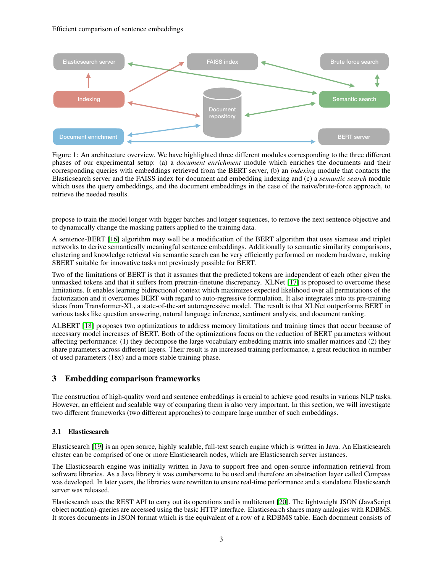

Figure 1: An architecture overview. We have highlighted three different modules corresponding to the three different phases of our experimental setup: (a) a *document enrichment* module which enriches the documents and their corresponding queries with embeddings retrieved from the BERT server, (b) an *indexing* module that contacts the Elasticsearch server and the FAISS index for document and embedding indexing and (c) a *semantic search* module which uses the query embeddings, and the document embeddings in the case of the naive/brute-force approach, to retrieve the needed results.

propose to train the model longer with bigger batches and longer sequences, to remove the next sentence objective and to dynamically change the masking patters applied to the training data.

A sentence-BERT [\[16\]](#page-7-11) algorithm may well be a modification of the BERT algorithm that uses siamese and triplet networks to derive semantically meaningful sentence embeddings. Additionally to semantic similarity comparisons, clustering and knowledge retrieval via semantic search can be very efficiently performed on modern hardware, making SBERT suitable for innovative tasks not previously possible for BERT.

Two of the limitations of BERT is that it assumes that the predicted tokens are independent of each other given the unmasked tokens and that it suffers from pretrain-finetune discrepancy. XLNet [\[17\]](#page-7-12) is proposed to overcome these limitations. It enables learning bidirectional context which maximizes expected likelihood over all permutations of the factorization and it overcomes BERT with regard to auto-regressive formulation. It also integrates into its pre-training ideas from Transformer-XL, a state-of-the-art autoregressive model. The result is that XLNet outperforms BERT in various tasks like question answering, natural language inference, sentiment analysis, and document ranking.

ALBERT [\[18\]](#page-7-13) proposes two optimizations to address memory limitations and training times that occur because of necessary model increases of BERT. Both of the optimizations focus on the reduction of BERT parameters without affecting performance: (1) they decompose the large vocabulary embedding matrix into smaller matrices and (2) they share parameters across different layers. Their result is an increased training performance, a great reduction in number of used parameters (18x) and a more stable training phase.

# 3 Embedding comparison frameworks

The construction of high-quality word and sentence embeddings is crucial to achieve good results in various NLP tasks. However, an efficient and scalable way of comparing them is also very important. In this section, we will investigate two different frameworks (two different approaches) to compare large number of such embeddings.

## 3.1 Elasticsearch

Elasticsearch [\[19\]](#page-7-14) is an open source, highly scalable, full-text search engine which is written in Java. An Elasticsearch cluster can be comprised of one or more Elasticsearch nodes, which are Elasticsearch server instances.

The Elasticsearch engine was initially written in Java to support free and open-source information retrieval from software libraries. As a Java library it was cumbersome to be used and therefore an abstraction layer called Compass was developed. In later years, the libraries were rewritten to ensure real-time performance and a standalone Elasticsearch server was released.

Elasticsearch uses the REST API to carry out its operations and is multitenant [\[20\]](#page-7-15). The lightweight JSON (JavaScript object notation)-queries are accessed using the basic HTTP interface. Elasticsearch shares many analogies with RDBMS. It stores documents in JSON format which is the equivalent of a row of a RDBMS table. Each document consists of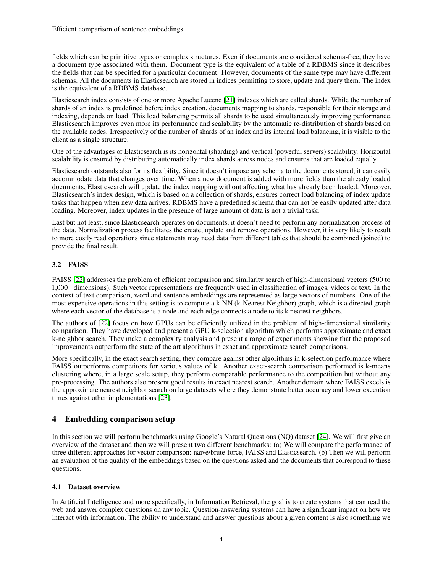fields which can be primitive types or complex structures. Even if documents are considered schema-free, they have a document type associated with them. Document type is the equivalent of a table of a RDBMS since it describes the fields that can be specified for a particular document. However, documents of the same type may have different schemas. All the documents in Elasticsearch are stored in indices permitting to store, update and query them. The index is the equivalent of a RDBMS database.

Elasticsearch index consists of one or more Apache Lucene [\[21\]](#page-7-16) indexes which are called shards. While the number of shards of an index is predefined before index creation, documents mapping to shards, responsible for their storage and indexing, depends on load. This load balancing permits all shards to be used simultaneously improving performance. Elasticsearch improves even more its performance and scalability by the automatic re-distribution of shards based on the available nodes. Irrespectively of the number of shards of an index and its internal load balancing, it is visible to the client as a single structure.

One of the advantages of Elasticsearch is its horizontal (sharding) and vertical (powerful servers) scalability. Horizontal scalability is ensured by distributing automatically index shards across nodes and ensures that are loaded equally.

Elasticsearch outstands also for its flexibility. Since it doesn't impose any schema to the documents stored, it can easily accommodate data that changes over time. When a new document is added with more fields than the already loaded documents, Elasticsearch will update the index mapping without affecting what has already been loaded. Moreover, Elasticsearch's index design, which is based on a collection of shards, ensures correct load balancing of index update tasks that happen when new data arrives. RDBMS have a predefined schema that can not be easily updated after data loading. Moreover, index updates in the presence of large amount of data is not a trivial task.

Last but not least, since Elasticsearch operates on documents, it doesn't need to perform any normalization process of the data. Normalization process facilitates the create, update and remove operations. However, it is very likely to result to more costly read operations since statements may need data from different tables that should be combined (joined) to provide the final result.

## 3.2 FAISS

FAISS [\[22\]](#page-7-17) addresses the problem of efficient comparison and similarity search of high-dimensional vectors (500 to 1,000+ dimensions). Such vector representations are frequently used in classification of images, videos or text. In the context of text comparison, word and sentence embeddings are represented as large vectors of numbers. One of the most expensive operations in this setting is to compute a k-NN (k-Nearest Neighbor) graph, which is a directed graph where each vector of the database is a node and each edge connects a node to its k nearest neighbors.

The authors of [\[22\]](#page-7-17) focus on how GPUs can be efficiently utilized in the problem of high-dimensional similarity comparison. They have developed and present a GPU k-selection algorithm which performs approximate and exact k-neighbor search. They make a complexity analysis and present a range of experiments showing that the proposed improvements outperform the state of the art algorithms in exact and approximate search comparisons.

More specifically, in the exact search setting, they compare against other algorithms in k-selection performance where FAISS outperforms competitors for various values of k. Another exact-search comparison performed is k-means clustering where, in a large scale setup, they perform comparable performance to the competition but without any pre-processing. The authors also present good results in exact nearest search. Another domain where FAISS excels is the approximate nearest neighbor search on large datasets where they demonstrate better accuracy and lower execution times against other implementations [\[23\]](#page-7-18).

## 4 Embedding comparison setup

In this section we will perform benchmarks using Google's Natural Questions (NQ) dataset [\[24\]](#page-7-19). We will first give an overview of the dataset and then we will present two different benchmarks: (a) We will compare the performance of three different approaches for vector comparison: naive/brute-force, FAISS and Elasticsearch. (b) Then we will perform an evaluation of the quality of the embeddings based on the questions asked and the documents that correspond to these questions.

### 4.1 Dataset overview

In Artificial Intelligence and more specifically, in Information Retrieval, the goal is to create systems that can read the web and answer complex questions on any topic. Question-answering systems can have a significant impact on how we interact with information. The ability to understand and answer questions about a given content is also something we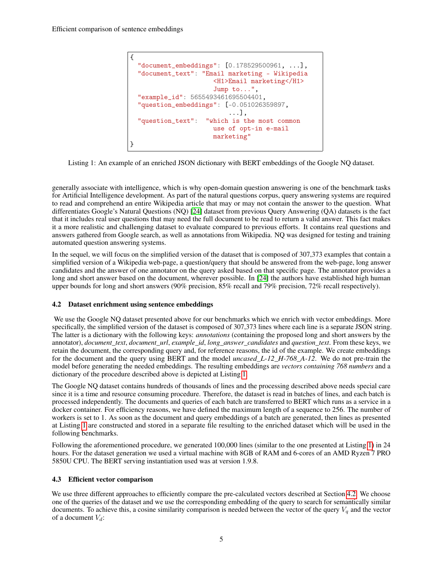```
{
 "document_embeddings": [0.178529500961, ...],
 "document_text": "Email marketing - Wikipedia
                      <H1>Email marketing</H1>
                      Jump to...",
 "example_id": 5655493461695504401,
 "question_embeddings": [-0.051026359897,
                          ...],
  "question_text": "which is the most common
                      use of opt-in e-mail
                      marketing"
}
```
Listing 1: An example of an enriched JSON dictionary with BERT embeddings of the Google NQ dataset.

generally associate with intelligence, which is why open-domain question answering is one of the benchmark tasks for Artificial Intelligence development. As part of the natural questions corpus, query answering systems are required to read and comprehend an entire Wikipedia article that may or may not contain the answer to the question. What differentiates Google's Natural Questions (NQ) [\[24\]](#page-7-19) dataset from previous Query Answering (QA) datasets is the fact that it includes real user questions that may need the full document to be read to return a valid answer. This fact makes it a more realistic and challenging dataset to evaluate compared to previous efforts. It contains real questions and answers gathered from Google search, as well as annotations from Wikipedia. NQ was designed for testing and training automated question answering systems.

In the sequel, we will focus on the simplified version of the dataset that is composed of 307,373 examples that contain a simplified version of a Wikipedia web-page, a question/query that should be answered from the web-page, long answer candidates and the answer of one annotator on the query asked based on that specific page. The annotator provides a long and short answer based on the document, wherever possible. In [\[24\]](#page-7-19) the authors have established high human upper bounds for long and short answers (90% precision, 85% recall and 79% precision, 72% recall respectively).

### <span id="page-4-1"></span>4.2 Dataset enrichment using sentence embeddings

We use the Google NQ dataset presented above for our benchmarks which we enrich with vector embeddings. More specifically, the simplified version of the dataset is composed of 307,373 lines where each line is a separate JSON string. The latter is a dictionary with the following keys: *annotations* (containing the proposed long and short answers by the annotator), *document\_text*, *document\_url*, *example\_id*, *long\_answer\_candidates* and *question\_text*. From these keys, we retain the document, the corresponding query and, for reference reasons, the id of the example. We create embeddings for the document and the query using BERT and the model *uncased\_L-12\_H-768\_A-12*. We do not pre-train the model before generating the needed embeddings. The resulting embeddings are *vectors containing 768 numbers* and a dictionary of the procedure described above is depicted at Listing [1.](#page-4-0)

The Google NQ dataset contains hundreds of thousands of lines and the processing described above needs special care since it is a time and resource consuming procedure. Therefore, the dataset is read in batches of lines, and each batch is processed independently. The documents and queries of each batch are transferred to BERT which runs as a service in a docker container. For efficiency reasons, we have defined the maximum length of a sequence to 256. The number of workers is set to 1. As soon as the document and query embeddings of a batch are generated, then lines as presented at Listing [1](#page-4-0) are constructed and stored in a separate file resulting to the enriched dataset which will be used in the following benchmarks.

Following the aforementioned procedure, we generated 100,000 lines (similar to the one presented at Listing [1\)](#page-4-0) in 24 hours. For the dataset generation we used a virtual machine with 8GB of RAM and 6-cores of an AMD Ryzen 7 PRO 5850U CPU. The BERT serving instantiation used was at version 1.9.8.

### 4.3 Efficient vector comparison

We use three different approaches to efficiently compare the pre-calculated vectors described at Section [4.2.](#page-4-1) We choose one of the queries of the dataset and we use the corresponding embedding of the query to search for semantically similar documents. To achieve this, a cosine similarity comparison is needed between the vector of the query  $V_q$  and the vector of a document  $V_d$ :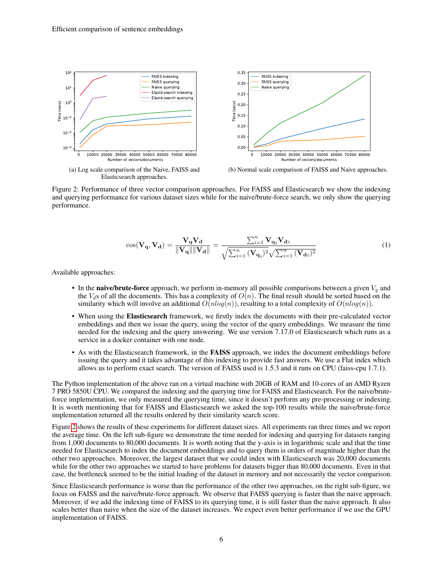<span id="page-5-0"></span>

Figure 2: Performance of three vector comparison approaches. For FAISS and Elasticsearch we show the indexing and querying performance for various dataset sizes while for the naive/brute-force search, we only show the querying performance.

$$
\cos(\mathbf{V}_{\mathbf{q}}, \mathbf{V}_{\mathbf{d}}) = \frac{\mathbf{V}_{\mathbf{q}} \mathbf{V}_{\mathbf{d}}}{\|\mathbf{V}_{\mathbf{q}}\| \|\mathbf{V}_{\mathbf{d}}\|} = \frac{\sum_{i=1}^{n} \mathbf{V}_{\mathbf{q}_i} \mathbf{V}_{\mathbf{d}_i}}{\sqrt{\sum_{i=1}^{n} (\mathbf{V}_{\mathbf{q}_i})^2} \sqrt{\sum_{i=1}^{n} (\mathbf{V}_{\mathbf{d}_i})^2}}
$$
(1)

Available approaches:

- In the **naive/brute-force** approach, we perform in-memory all possible comparisons between a given  $V_q$  and the  $V_d$ s of all the documents. This has a complexity of  $O(n)$ . The final result should be sorted based on the similarity which will involve an additional  $O(n \log(n))$ , resulting to a total complexity of  $O(n \log(n))$ .
- When using the Elasticsearch framework, we firstly index the documents with their pre-calculated vector embeddings and then we issue the query, using the vector of the query embeddings. We measure the time needed for the indexing and the query answering. We use version 7.17.0 of Elasticsearch which runs as a service in a docker container with one node.
- As with the Elasticsearch framework, in the FAISS approach, we index the document embeddings before issuing the query and it takes advantage of this indexing to provide fast answers. We use a Flat index which allows us to perform exact search. The version of FAISS used is 1.5.3 and it runs on CPU (faiss-cpu 1.7.1).

The Python implementation of the above ran on a virtual machine with 20GB of RAM and 10-cores of an AMD Ryzen 7 PRO 5850U CPU. We compared the indexing and the querying time for FAISS and Elasticsearch. For the naive/bruteforce implementation, we only measured the querying time, since it doesn't perform any pre-processing or indexing. It is worth mentioning that for FAISS and Elasticsearch we asked the top-100 results while the naive/brute-force implementation returned all the results ordered by their similarity search score.

Figure [2](#page-5-0) shows the results of these experiments for different dataset sizes. All experiments ran three times and we report the average time. On the left sub-figure we demonstrate the time needed for indexing and querying for datasets ranging from 1,000 documents to 80,000 documents. It is worth noting that the y-axis is in logarithmic scale and that the time needed for Elasticsearch to index the document embeddings and to query them is orders of magnitude higher than the other two approaches. Moreover, the largest dataset that we could index with Elasticsearch was 20,000 documents while for the other two approaches we started to have problems for datasets bigger than 80,000 documents. Even in that case, the bottleneck seemed to be the initial loading of the dataset in memory and not necessarily the vector comparison.

Since Elasticsearch performance is worse than the performance of the other two approaches, on the right sub-figure, we focus on FAISS and the naive/brute-force approach. We observe that FAISS querying is faster than the naive approach. Moreover, if we add the indexing time of FAISS to its querying time, it is still faster than the naive approach. It also scales better than naive when the size of the dataset increases. We expect even better performance if we use the GPU implementation of FAISS.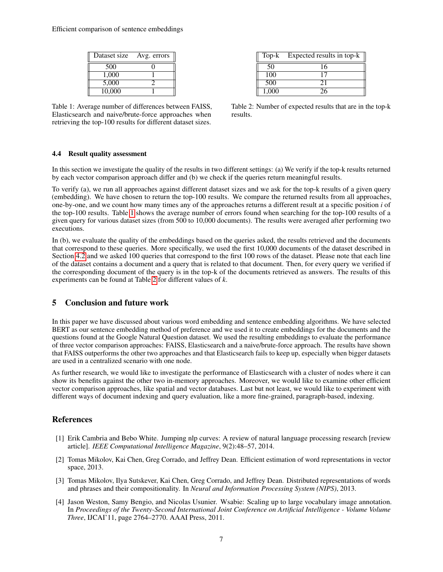<span id="page-6-4"></span>Efficient comparison of sentence embeddings

| Dataset size | Avg. errors |
|--------------|-------------|
| 500          |             |
| 1.000        |             |
| 5,000        |             |
| 10,000       |             |

Table 1: Average number of differences between FAISS, Elasticsearch and naive/brute-force approaches when retrieving the top-100 results for different dataset sizes.

|       | Top-k Expected results in top-k |
|-------|---------------------------------|
| 50    | 16                              |
| 100   |                                 |
| 500   | 21                              |
| 1.000 |                                 |

Table 2: Number of expected results that are in the top-k results.

#### 4.4 Result quality assessment

In this section we investigate the quality of the results in two different settings: (a) We verify if the top-k results returned by each vector comparison approach differ and (b) we check if the queries return meaningful results.

To verify (a), we run all approaches against different dataset sizes and we ask for the top-k results of a given query (embedding). We have chosen to return the top-100 results. We compare the returned results from all approaches, one-by-one, and we count how many times any of the approaches returns a different result at a specific position *i* of the top-100 results. Table [1](#page-6-4) shows the average number of errors found when searching for the top-100 results of a given query for various dataset sizes (from 500 to 10,000 documents). The results were averaged after performing two executions.

In (b), we evaluate the quality of the embeddings based on the queries asked, the results retrieved and the documents that correspond to these queries. More specifically, we used the first 10,000 documents of the dataset described in Section [4.2](#page-4-1) and we asked 100 queries that correspond to the first 100 rows of the dataset. Please note that each line of the dataset contains a document and a query that is related to that document. Then, for every query we verified if the corresponding document of the query is in the top-k of the documents retrieved as answers. The results of this experiments can be found at Table [2](#page-6-4) for different values of *k*.

## 5 Conclusion and future work

In this paper we have discussed about various word embedding and sentence embedding algorithms. We have selected BERT as our sentence embedding method of preference and we used it to create embeddings for the documents and the questions found at the Google Natural Question dataset. We used the resulting embeddings to evaluate the performance of three vector comparison approaches: FAISS, Elasticsearch and a naive/brute-force approach. The results have shown that FAISS outperforms the other two approaches and that Elasticsearch fails to keep up, especially when bigger datasets are used in a centralized scenario with one node.

As further research, we would like to investigate the performance of Elasticsearch with a cluster of nodes where it can show its benefits against the other two in-memory approaches. Moreover, we would like to examine other efficient vector comparison approaches, like spatial and vector databases. Last but not least, we would like to experiment with different ways of document indexing and query evaluation, like a more fine-grained, paragraph-based, indexing.

## **References**

- <span id="page-6-0"></span>[1] Erik Cambria and Bebo White. Jumping nlp curves: A review of natural language processing research [review article]. *IEEE Computational Intelligence Magazine*, 9(2):48–57, 2014.
- <span id="page-6-1"></span>[2] Tomas Mikolov, Kai Chen, Greg Corrado, and Jeffrey Dean. Efficient estimation of word representations in vector space, 2013.
- <span id="page-6-2"></span>[3] Tomas Mikolov, Ilya Sutskever, Kai Chen, Greg Corrado, and Jeffrey Dean. Distributed representations of words and phrases and their compositionality. In *Neural and Information Processing System (NIPS)*, 2013.
- <span id="page-6-3"></span>[4] Jason Weston, Samy Bengio, and Nicolas Usunier. Wsabie: Scaling up to large vocabulary image annotation. In *Proceedings of the Twenty-Second International Joint Conference on Artificial Intelligence - Volume Volume Three*, IJCAI'11, page 2764–2770. AAAI Press, 2011.